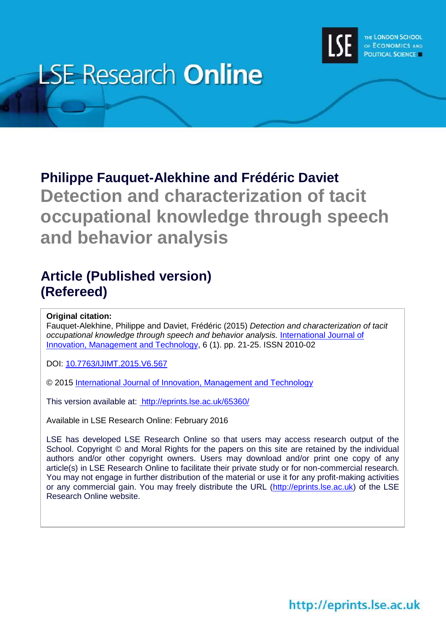

# **LSE Research Online**

# **Philippe Fauquet-Alekhine and Frédéric Daviet Detection and characterization of tacit occupational knowledge through speech and behavior analysis**

### **Article (Published version) (Refereed)**

**Original citation:**

Fauquet-Alekhine, Philippe and Daviet, Frédéric (2015) *Detection and characterization of tacit occupational knowledge through speech and behavior analysis.* [International Journal of](http://www.ijimt.org/)  [Innovation, Management and Technology,](http://www.ijimt.org/) 6 (1). pp. 21-25. ISSN 2010-02

DOI: [10.7763/IJIMT.2015.V6.567](http://dx.doi.org/10.7763/IJIMT.2015.V6.567)

© 2015 [International Journal of Innovation, Management and Technology](http://www.ijimt.org/)

This version available at:<http://eprints.lse.ac.uk/65360/>

Available in LSE Research Online: February 2016

LSE has developed LSE Research Online so that users may access research output of the School. Copyright © and Moral Rights for the papers on this site are retained by the individual authors and/or other copyright owners. Users may download and/or print one copy of any article(s) in LSE Research Online to facilitate their private study or for non-commercial research. You may not engage in further distribution of the material or use it for any profit-making activities or any commercial gain. You may freely distribute the URL [\(http://eprints.lse.ac.uk\)](http://eprints.lse.ac.uk/) of the LSE Research Online website.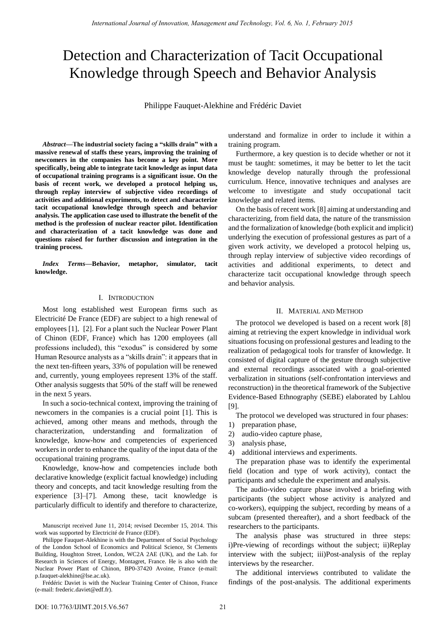## Detection and Characterization of Tacit Occupational Knowledge through Speech and Behavior Analysis

Philippe Fauquet-Alekhine and Frédéric Daviet

*Abstract***—The industrial society facing a "skills drain" with a massive renewal of staffs these years, improving the training of newcomers in the companies has become a key point. More specifically, being able to integrate tacit knowledge as input data of occupational training programs is a significant issue. On the basis of recent work, we developed a protocol helping us, through replay interview of subjective video recordings of activities and additional experiments, to detect and characterize tacit occupational knowledge through speech and behavior analysis. The application case used to illustrate the benefit of the method is the profession of nuclear reactor pilot. Identification and characterization of a tacit knowledge was done and questions raised for further discussion and integration in the training process.** 

*Index Terms***—Behavior, metaphor, simulator, tacit knowledge.** 

#### I. INTRODUCTION

Most long established west European firms such as Electricité De France (EDF) are subject to a high renewal of employees [1], [2]. For a plant such the Nuclear Power Plant of Chinon (EDF, France) which has 1200 employees (all professions included), this "exodus" is considered by some Human Resource analysts as a "skills drain": it appears that in the next ten-fifteen years, 33% of population will be renewed and, currently, young employees represent 13% of the staff. Other analysis suggests that 50% of the staff will be renewed in the next 5 years.

In such a socio-technical context, improving the training of newcomers in the companies is a crucial point [1]. This is achieved, among other means and methods, through the characterization, understanding and formalization of knowledge, know-how and competencies of experienced workers in order to enhance the quality of the input data of the occupational training programs.

Knowledge, know-how and competencies include both declarative knowledge (explicit factual knowledge) including theory and concepts, and tacit knowledge resulting from the experience [3]–[7]. Among these, tacit knowledge is particularly difficult to identify and therefore to characterize,

Manuscript received June 11, 2014; revised December 15, 2014. This work was supported by Electricité de France (EDF).

Philippe Fauquet-Alekhine is with the Department of Social Psychology of the London School of Economics and Political Science, St Clements Building, Houghton Street, London, WC2A 2AE (UK), and the Lab. for Research in Sciences of Energy, Montagret, France. He is also with the Nuclear Power Plant of Chinon, BP0-37420 Avoine, France (e-mail: p.fauquet-alekhine@lse.ac.uk).

Frédéric Daviet is with the Nuclear Training Center of Chinon, France (e-mail: frederic.daviet@edf.fr).

understand and formalize in order to include it within a training program.

Furthermore, a key question is to decide whether or not it must be taught: sometimes, it may be better to let the tacit knowledge develop naturally through the professional curriculum. Hence, innovative techniques and analyses are welcome to investigate and study occupational tacit knowledge and related items.

On the basis of recent work [8] aiming at understanding and characterizing, from field data, the nature of the transmission and the formalization of knowledge (both explicit and implicit) underlying the execution of professional gestures as part of a given work activity, we developed a protocol helping us, through replay interview of subjective video recordings of activities and additional experiments, to detect and characterize tacit occupational knowledge through speech and behavior analysis.

#### II. MATERIAL AND METHOD

The protocol we developed is based on a recent work [8] aiming at retrieving the expert knowledge in individual work situations focusing on professional gestures and leading to the realization of pedagogical tools for transfer of knowledge. It consisted of digital capture of the gesture through subjective and external recordings associated with a goal-oriented verbalization in situations (self-confrontation interviews and reconstruction) in the theoretical framework of the Subjective Evidence-Based Ethnography (SEBE) elaborated by Lahlou [9].

The protocol we developed was structured in four phases:

- 1) preparation phase,
- 2) audio-video capture phase,
- 3) analysis phase,
- 4) additional interviews and experiments.

The preparation phase was to identify the experimental field (location and type of work activity), contact the participants and schedule the experiment and analysis.

The audio-video capture phase involved a briefing with participants (the subject whose activity is analyzed and co-workers), equipping the subject, recording by means of a subcam (presented thereafter), and a short feedback of the researchers to the participants.

The analysis phase was structured in three steps: i)Pre-viewing of recordings without the subject; ii)Replay interview with the subject; iii)Post-analysis of the replay interviews by the researcher.

The additional interviews contributed to validate the findings of the post-analysis. The additional experiments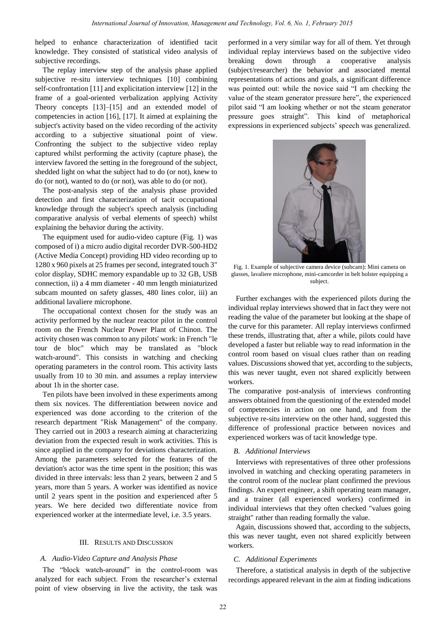helped to enhance characterization of identified tacit knowledge. They consisted of statistical video analysis of subjective recordings.

The replay interview step of the analysis phase applied subjective re-situ interview techniques [10] combining self-confrontation [11] and explicitation interview [12] in the frame of a goal-oriented verbalization applying Activity Theory concepts [13]–[15] and an extended model of competencies in action [16], [17]. It aimed at explaining the subject's activity based on the video recording of the activity according to a subjective situational point of view. Confronting the subject to the subjective video replay captured whilst performing the activity (capture phase), the interview favored the setting in the foreground of the subject, shedded light on what the subject had to do (or not), knew to do (or not), wanted to do (or not), was able to do (or not).

The post-analysis step of the analysis phase provided detection and first characterization of tacit occupational knowledge through the subject's speech analysis (including comparative analysis of verbal elements of speech) whilst explaining the behavior during the activity.

The equipment used for audio-video capture (Fig. 1) was composed of i) a micro audio digital recorder DVR-500-HD2 (Active Media Concept) providing HD video recording up to 1280 x 960 pixels at 25 frames per second, integrated touch 3" color display, SDHC memory expandable up to 32 GB, USB connection, ii) a 4 mm diameter - 40 mm length miniaturized subcam mounted on safety glasses, 480 lines color, iii) an additional lavaliere microphone.

The occupational context chosen for the study was an activity performed by the nuclear reactor pilot in the control room on the French Nuclear Power Plant of Chinon. The activity chosen was common to any pilots' work: in French "le tour de bloc" which may be translated as "block watch-around". This consists in watching and checking operating parameters in the control room. This activity lasts usually from 10 to 30 min. and assumes a replay interview about 1h in the shorter case.

Ten pilots have been involved in these experiments among them six novices. The differentiation between novice and experienced was done according to the criterion of the research department "Risk Management" of the company. They carried out in 2003 a research aiming at characterizing deviation from the expected result in work activities. This is since applied in the company for deviations characterization. Among the parameters selected for the features of the deviation's actor was the time spent in the position; this was divided in three intervals: less than 2 years, between 2 and 5 years, more than 5 years. A worker was identified as novice until 2 years spent in the position and experienced after 5 years. We here decided two differentiate novice from experienced worker at the intermediate level, i.e. 3.5 years.

#### III. RESULTS AND DISCUSSION

#### *A. Audio-Video Capture and Analysis Phase*

The "block watch-around" in the control-room was analyzed for each subject. From the researcher's external point of view observing in live the activity, the task was

performed in a very similar way for all of them. Yet through individual replay interviews based on the subjective video breaking down through a cooperative analysis (subject/researcher) the behavior and associated mental representations of actions and goals, a significant difference was pointed out: while the novice said "I am checking the value of the steam generator pressure here", the experienced pilot said "I am looking whether or not the steam generator pressure goes straight". This kind of metaphorical expressions in experienced subjects' speech was generalized.



Fig. 1. Example of subjective camera device (subcam): Mini camera on glasses, lavaliere microphone, mini-camcorder in belt holster equipping a subject.

Further exchanges with the experienced pilots during the individual replay interviews showed that in fact they were not reading the value of the parameter but looking at the shape of the curve for this parameter. All replay interviews confirmed these trends, illustrating that, after a while, pilots could have developed a faster but reliable way to read information in the control room based on visual clues rather than on reading values. Discussions showed that yet, according to the subjects, this was never taught, even not shared explicitly between workers.

The comparative post-analysis of interviews confronting answers obtained from the questioning of the extended model of competencies in action on one hand, and from the subjective re-situ interview on the other hand, suggested this difference of professional practice between novices and experienced workers was of tacit knowledge type.

#### *B. Additional Interviews*

Interviews with representatives of three other professions involved in watching and checking operating parameters in the control room of the nuclear plant confirmed the previous findings. An expert engineer, a shift operating team manager, and a trainer (all experienced workers) confirmed in individual interviews that they often checked "values going straight" rather than reading formally the value.

Again, discussions showed that, according to the subjects, this was never taught, even not shared explicitly between workers.

#### *C. Additional Experiments*

Therefore, a statistical analysis in depth of the subjective recordings appeared relevant in the aim at finding indications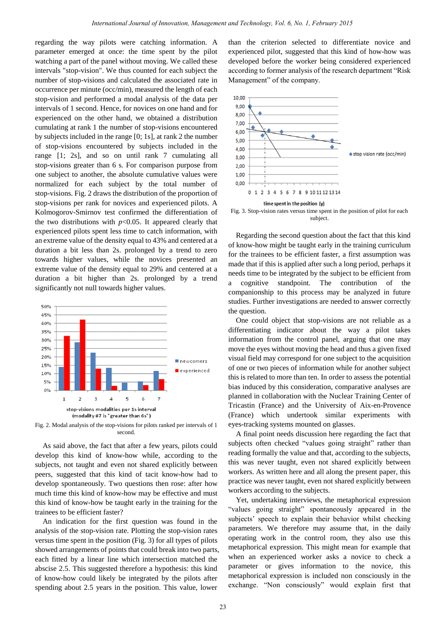regarding the way pilots were catching information. A parameter emerged at once: the time spent by the pilot watching a part of the panel without moving. We called these intervals "stop-vision". We thus counted for each subject the number of stop-visions and calculated the associated rate in occurrence per minute (occ/min), measured the length of each stop-vision and performed a modal analysis of the data per intervals of 1 second. Hence, for novices on one hand and for experienced on the other hand, we obtained a distribution cumulating at rank 1 the number of stop-visions encountered by subjects included in the range [0; 1s], at rank 2 the number of stop-visions encountered by subjects included in the range [1; 2s], and so on until rank 7 cumulating all stop-visions greater than 6 s. For comparison purpose from one subject to another, the absolute cumulative values were normalized for each subject by the total number of stop-visions. Fig. 2 draws the distribution of the proportion of stop-visions per rank for novices and experienced pilots. A Kolmogorov-Smirnov test confirmed the differentiation of the two distributions with  $p<0.05$ . It appeared clearly that experienced pilots spent less time to catch information, with an extreme value of the density equal to 43% and centered at a duration a bit less than 2s. prolonged by a trend to zero towards higher values, while the novices presented an extreme value of the density equal to 29% and centered at a duration a bit higher than 2s. prolonged by a trend significantly not null towards higher values.



Fig. 2. Modal analysis of the stop-visions for pilots ranked per intervals of 1 second.

As said above, the fact that after a few years, pilots could develop this kind of know-how while, according to the subjects, not taught and even not shared explicitly between peers, suggested that this kind of tacit know-how had to develop spontaneously. Two questions then rose: after how much time this kind of know-how may be effective and must this kind of know-how be taught early in the training for the trainees to be efficient faster?

An indication for the first question was found in the analysis of the stop-vision rate. Plotting the stop-vision rates versus time spent in the position (Fig. 3) for all types of pilots showed arrangements of points that could break into two parts, each fitted by a linear line which intersection matched the abscise 2.5. This suggested therefore a hypothesis: this kind of know-how could likely be integrated by the pilots after spending about 2.5 years in the position. This value, lower

than the criterion selected to differentiate novice and experienced pilot, suggested that this kind of how-how was developed before the worker being considered experienced according to former analysis of the research department "Risk Management" of the company.



Fig. 3. Stop-vision rates versus time spent in the position of pilot for each subject.

Regarding the second question about the fact that this kind of know-how might be taught early in the training curriculum for the trainees to be efficient faster, a first assumption was made that if this is applied after such a long period, perhaps it needs time to be integrated by the subject to be efficient from a cognitive standpoint. The contribution of the companionship to this process may be analyzed in future studies. Further investigations are needed to answer correctly the question.

One could object that stop-visions are not reliable as a differentiating indicator about the way a pilot takes information from the control panel, arguing that one may move the eyes without moving the head and thus a given fixed visual field may correspond for one subject to the acquisition of one or two pieces of information while for another subject this is related to more than ten. In order to assess the potential bias induced by this consideration, comparative analyses are planned in collaboration with the Nuclear Training Center of Tricastin (France) and the University of Aix-en-Provence (France) which undertook similar experiments with eyes-tracking systems mounted on glasses.

A final point needs discussion here regarding the fact that subjects often checked "values going straight" rather than reading formally the value and that, according to the subjects, this was never taught, even not shared explicitly between workers. As written here and all along the present paper, this practice was never taught, even not shared explicitly between workers according to the subjects.

Yet, undertaking interviews, the metaphorical expression "values going straight" spontaneously appeared in the subjects' speech to explain their behavior whilst checking parameters. We therefore may assume that, in the daily operating work in the control room, they also use this metaphorical expression. This might mean for example that when an experienced worker asks a novice to check a parameter or gives information to the novice, this metaphorical expression is included non consciously in the exchange. "Non consciously" would explain first that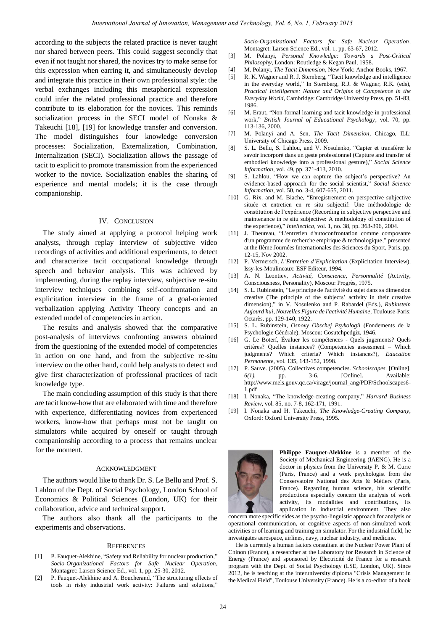according to the subjects the related practice is never taught nor shared between peers. This could suggest secondly that even if not taught nor shared, the novices try to make sense for this expression when earring it, and simultaneously develop and integrate this practice in their own professional style: the verbal exchanges including this metaphorical expression could infer the related professional practice and therefore contribute to its elaboration for the novices. This reminds socialization process in the SECI model of Nonaka & Takeuchi [18], [19] for knowledge transfer and conversion. The model distinguishes four knowledge conversion processes: Socialization, Externalization, Combination, Internalization (SECI). Socialization allows the passage of tacit to explicit to promote transmission from the experienced worker to the novice. Socialization enables the sharing of experience and mental models; it is the case through companionship.

#### IV. CONCLUSION

The study aimed at applying a protocol helping work analysts, through replay interview of subjective video recordings of activities and additional experiments, to detect and characterize tacit occupational knowledge through speech and behavior analysis. This was achieved by implementing, during the replay interview, subjective re-situ interview techniques combining self-confrontation and explicitation interview in the frame of a goal-oriented verbalization applying Activity Theory concepts and an extended model of competencies in action.

The results and analysis showed that the comparative post-analysis of interviews confronting answers obtained from the questioning of the extended model of competencies in action on one hand, and from the subjective re-situ interview on the other hand, could help analysts to detect and give first characterization of professional practices of tacit knowledge type.

The main concluding assumption of this study is that there are tacit know-how that are elaborated with time and therefore with experience, differentiating novices from experienced workers, know-how that perhaps must not be taught on simulators while acquired by oneself or taught through companionship according to a process that remains unclear for the moment.

#### ACKNOWLEDGMENT

The authors would like to thank Dr. S. Le Bellu and Prof. S. Lahlou of the Dept. of Social Psychology, London School of Economics & Political Sciences (London, UK) for their collaboration, advice and technical support.

The authors also thank all the participants to the experiments and observations.

#### **REFERENCES**

- [1] P. Fauquet-Alekhine, "Safety and Reliability for nuclear production," *Socio-Organizational Factors for Safe Nuclear Operation*, Montagret: Larsen Science Ed., vol. 1, pp. 25-30, 2012.
- [2] P. Fauquet-Alekhine and A. Boucherand, "The structuring effects of tools in risky industrial work activity: Failures and solutions,"

*Socio-Organizational Factors for Safe Nuclear Operation*, Montagret: Larsen Science Ed., vol. 1, pp. 63-67, 2012.

- [3] M*.* Polanyi, *Personal Knowledge: Towards a Post-Critical Philosophy*, London: Routledge & Kegan Paul, 1958.
- [4] M. Polanyi, *The Tacit Dimension*, New York: Anchor Books, 1967.
- [5] R. K. Wagner and R. J. Sternberg, "Tacit knowledge and intelligence in the everyday world," In Sternberg, R.J. & Wagner, R.K. (eds), *Practical Intelligence: Nature and Origins of Competence in the Everyday World*, Cambridge: Cambridge University Press, pp. 51-83, 1986.
- [6] M. Eraut, "Non-formal learning and tacit knowledge in professional work," *British Journal of Educational Psychology*, vol. 70, pp. 113-136, 2000.
- [7] M. Polanyi and A. Sen, *The Tacit Dimension*, Chicago, ILL: University of Chicago Press, 2009.
- [8] S. L. Bellu, S. Lahlou, and V. Nosulenko, "Capter et transférer le savoir incorporé dans un geste professionnel (Capture and transfer of embodied knowledge into a professional gesture)," *Social Science Information*, vol. 49, pp. 371-413, 2010.
- [9] S. Lahlou, "How we can capture the subject's perspective? An evidence-based approach for the social scientist," *Social Science Information*, vol. 50, no. 3-4, 607-655, 2011.
- [10] G. Rix, and M. Biache, "Enregistrement en perspective subjective située et entretien en re situ subjectif: Une méthodologie de constitution de l'expérience (Recording in subjective perspective and maintenance in re situ subjective: A methodology of constitution of the experience)," *Intellectica,* vol. 1, no. 38, pp. 363-396, 2004.
- [11] J. Theureau, "L'entretien d'autoconfrontation comme composante d'un programme de recherche empirique & technologique," presented at the IIème Journées Internationales des Sciences du Sport, Paris, pp. 12-15, Nov 2002.
- [12] P. Vermersch, *L'Entretien d'Explicitation* (Explicitation Interview), Issy-les-Moulineaux: ESF Editeur, 1994.
- [13] A. N. Leontiev, *Activité, Conscience, Personnalité* (Activity, Consciousness, Personality), Moscou: Progrès, 1975.
- [14] S. L. Rubinstein, "Le principe de l'activité du sujet dans sa dimension creative (The principle of the subjects' activity in their creative dimension)," in V. Nosulenko and P. Rabardel (Eds.), *Rubinstein Aujourd'hui, Nouvelles Figure de l'activité Humaine,* Toulouse-Paris: Octarès, pp. 129-140, 1922.
- [15] S. L. Rubinstein, *Osnovy Obschej Psykologii* (Fondements de la Psychologie Générale), Moscou: Gosutchpedgiz, 1946.
- [16] G. Le Boterf, Évaluer les compétences Quels jugements? Quels critères? Quelles instances? (Competencies assessment – Which judgments? Which criteria? Which instances?), *Education Permanente*, vol. 135, 143-152, 1998.
- [17] P. Sauve. (2005). Collectives competencies. *Schoolscapes.* [Online]. *6(1).* pp. 3-6. [Online]. Available: http://www.mels.gouv.qc.ca/virage/journal\_ang/PDF/Schoolscapes6- 1.pdf
- [18] I. Nonaka, "The knowledge-creating company," *Harvard Business Review*, vol. 85, no. 7-8, 162-171, 1991.
- [19] I. Nonaka and H. Takeuchi, *The Knowledge-Creating Company*, Oxford: Oxford University Press, 1995.



**Philippe Fauquet-Alekkine** is a member of the Society of Mechanical Engineering (IAENG). He is a doctor in physics from the University P. & M. Curie (Paris, France) and a work psychologist from the Conservatoire National des Arts & Métiers (Paris, France). Regarding human science, his scientific productions especially concern the analysis of work activity, its modalities and contributions, its application in industrial environment. They also

concern more specific sides as the psycho-linguistic approach for analysis or operational communication, or cognitive aspects of non-simulated work activities or of learning and training on simulator. For the industrial field, he investigates aerospace, airlines, navy, nuclear industry, and medicine.

He is currently a human factors consultant at the Nuclear Power Plant of Chinon (France), a researcher at the Laboratory for Research in Science of Energy (France) and sponsored by Electricité de France for a research program with the Dept. of Social Psychology (LSE, London, UK). Since 2012, he is teaching at the interuniversity diploma "Crisis Management in the Medical Field", Toulouse University (France). He is a co-editor of a book